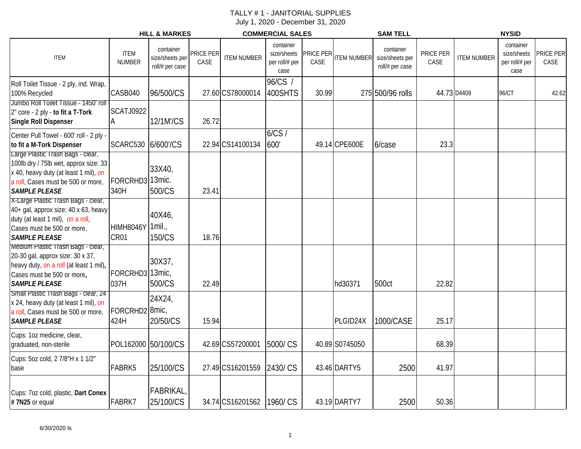|                                                                                                                                                                         |                                    | <b>HILL &amp; MARKES</b>                        |                   |                    | <b>COMMERCIAL SALES</b>                            |                   |                    | <b>SAM TELL</b>                                 |                   |                    | <b>NYSID</b>                                       |                          |
|-------------------------------------------------------------------------------------------------------------------------------------------------------------------------|------------------------------------|-------------------------------------------------|-------------------|--------------------|----------------------------------------------------|-------------------|--------------------|-------------------------------------------------|-------------------|--------------------|----------------------------------------------------|--------------------------|
| <b>ITEM</b>                                                                                                                                                             | <b>ITEM</b><br><b>NUMBER</b>       | container<br>size/sheets per<br>roll/# per case | PRICE PER<br>CASE | <b>ITEM NUMBER</b> | container<br>size/sheets<br>per roll/# per<br>case | PRICE PER<br>CASE | <b>ITEM NUMBER</b> | container<br>size/sheets per<br>roll/# per case | PRICE PER<br>CASE | <b>ITEM NUMBER</b> | container<br>size/sheets<br>per roll/# per<br>case | <b>PRICE PER</b><br>CASE |
| Roll Toilet Tissue - 2 ply, ind. Wrap,<br>100% Recycled<br>Jumbo Roll Toilet Tissue - 1450' roll                                                                        | CASB040                            | 96/500/CS                                       |                   | 27.60 CS78000014   | $96/CS$ /<br>400SHTS                               | 30.99             |                    | 275 500/96 rolls                                | 44.73 D4409       |                    | 96/CT                                              | 42.62                    |
| 2" core - 2 ply - to fit a T-Tork<br><b>Single Roll Dispenser</b>                                                                                                       | <b>SCATJ0922</b><br>A              | 12/1M'/CS                                       | 26.72             |                    |                                                    |                   |                    |                                                 |                   |                    |                                                    |                          |
| Center Pull Towel - 600' roll - 2 ply -<br>to fit a M-Tork Dispenser<br>Large Plastic Trash Bags - clear,                                                               | SCARC530 6/600'/CS                 |                                                 |                   | 22.94 CS14100134   | 6/CS/<br>600'                                      |                   | 49.14 CPE600E      | 6/case                                          | 23.3              |                    |                                                    |                          |
| 100lb dry / 75lb wet, approx size: 33<br>x 40, heavy duty (at least 1 mil), on<br>a roll, Cases must be 500 or more,<br><b>SAMPLE PLEASE</b>                            | FORCRHD3 13mic.<br>340H            | 33X40,<br>500/CS                                | 23.41             |                    |                                                    |                   |                    |                                                 |                   |                    |                                                    |                          |
| X-Large Plastic Trash Bags - clear,<br>40+ gal, approx size: 40 x 63, heavy<br>duty (at least 1 mil), on a roll,<br>Cases must be 500 or more,<br><b>SAMPLE PLEASE</b>  | HIMH8046Y 1mil.,<br>CR01           | 40X46,<br>150/CS                                | 18.76             |                    |                                                    |                   |                    |                                                 |                   |                    |                                                    |                          |
| Medium Plastic Trash Bags - clear,<br>20-30 gal, approx size: 30 x 37,<br>heavy duty, on a roll (at least 1 mil),<br>Cases must be 500 or more,<br><b>SAMPLE PLEASE</b> | FORCRHD3 13mic,<br>037H            | 30X37,<br>500/CS                                | 22.49             |                    |                                                    |                   | hd30371            | 500ct                                           | 22.82             |                    |                                                    |                          |
| Small Plastic Trash Bags - clear, 24<br>x 24, heavy duty (at least 1 mil), on<br>a roll, Cases must be 500 or more,<br><b>SAMPLE PLEASE</b>                             | FORCRHD2 <sup>8mic</sup> ,<br>424H | 24X24,<br>20/50/CS                              | 15.94             |                    |                                                    |                   | PLGID24X           | 1000/CASE                                       | 25.17             |                    |                                                    |                          |
| Cups: 1oz medicine, clear,<br>graduated, non-sterile                                                                                                                    | POL162000 50/100/CS                |                                                 |                   | 42.69 CS57200001   | 5000/CS                                            |                   | 40.89 S0745050     |                                                 | 68.39             |                    |                                                    |                          |
| Cups: 5oz cold, 2 7/8"H x 1 1/2"<br>base                                                                                                                                | FABRK5                             | 25/100/CS                                       |                   | 27.49 CS16201559   | 2430/CS                                            |                   | 43.46 DARTY5       | 2500                                            | 41.97             |                    |                                                    |                          |
| Cups: 7oz cold, plastic, Dart Conex<br>#7N25 or equal                                                                                                                   | FABRK7                             | FABRIKAL,<br>25/100/CS                          |                   | 34.74 CS16201562   | 1960/CS                                            |                   | 43.19 DARTY7       | 2500                                            | 50.36             |                    |                                                    |                          |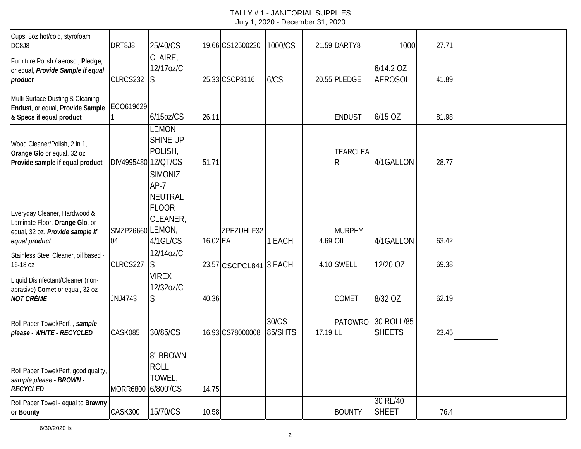| Cups: 8oz hot/cold, styrofoam<br>DC8J8                                                                             | DRT8J8                 | 25/40/CS                                                                           |          | 19.66 CS12500220       | 1000/CS          |          | 21.59 DARTY8                   | 1000                        | 27.71 |  |  |
|--------------------------------------------------------------------------------------------------------------------|------------------------|------------------------------------------------------------------------------------|----------|------------------------|------------------|----------|--------------------------------|-----------------------------|-------|--|--|
| Furniture Polish / aerosol, Pledge,<br>or equal, Provide Sample if equal<br>product                                | CLRCS232               | CLAIRE,<br>12/17oz/C<br>S                                                          |          | 25.33 CSCP8116         | 6/CS             |          | 20.55 PLEDGE                   | 6/14.2 OZ<br><b>AEROSOL</b> | 41.89 |  |  |
| Multi Surface Dusting & Cleaning,<br>Endust, or equal, Provide Sample<br>& Specs if equal product                  | ECO619629              | $6/15$ oz/CS                                                                       | 26.11    |                        |                  |          | <b>ENDUST</b>                  | 6/15 OZ                     | 81.98 |  |  |
| Wood Cleaner/Polish, 2 in 1,<br>Orange Glo or equal, 32 oz,<br>Provide sample if equal product                     | DIV4995480 12/QT/CS    | <b>LEMON</b><br>SHINE UP<br>POLISH,                                                | 51.71    |                        |                  |          | <b>TEARCLEA</b><br>$\mathsf R$ | 4/1GALLON                   | 28.77 |  |  |
| Everyday Cleaner, Hardwood &<br>Laminate Floor, Orange Glo, or<br>equal, 32 oz, Provide sample if<br>equal product | SMZP26660 LEMON,<br>04 | <b>SIMONIZ</b><br>$AP-7$<br><b>NEUTRAL</b><br><b>FLOOR</b><br>CLEANER,<br>4/1GL/CS | 16.02 EA | ZPEZUHLF32             | 1 EACH           | 4.69 OIL | <b>MURPHY</b>                  | 4/1GALLON                   | 63.42 |  |  |
| Stainless Steel Cleaner, oil based -<br>16-18 oz                                                                   | CLRCS227               | 12/14oz/C<br>S                                                                     |          | 23.57 CSCPCL841 3 EACH |                  |          | 4.10 SWELL                     | 12/20 OZ                    | 69.38 |  |  |
| Liquid Disinfectant/Cleaner (non-<br>abrasive) Comet or equal, 32 oz<br><b>NOT CRÈME</b>                           | JNJ4743                | <b>VIREX</b><br>12/32oz/C<br>S                                                     | 40.36    |                        |                  |          | COMET                          | 8/32 OZ                     | 62.19 |  |  |
| Roll Paper Towel/Perf,, sample<br>please - WHITE - RECYCLED                                                        | CASK085                | 30/85/CS                                                                           |          | 16.93 CS78000008       | 30/CS<br>85/SHTS | 17.19 LL | <b>PATOWRO</b>                 | 30 ROLL/85<br><b>SHEETS</b> | 23.45 |  |  |
| Roll Paper Towel/Perf, good quality,<br>sample please - BROWN -<br><b>RECYCLED</b>                                 | MORR6800 6/800'/CS     | 8" BROWN<br><b>ROLL</b><br>TOWEL,                                                  | 14.75    |                        |                  |          |                                |                             |       |  |  |
| Roll Paper Towel - equal to Brawny<br>or Bounty                                                                    | CASK300                | 15/70/CS                                                                           | 10.58    |                        |                  |          | <b>BOUNTY</b>                  | 30 RL/40<br><b>SHEET</b>    | 76.4  |  |  |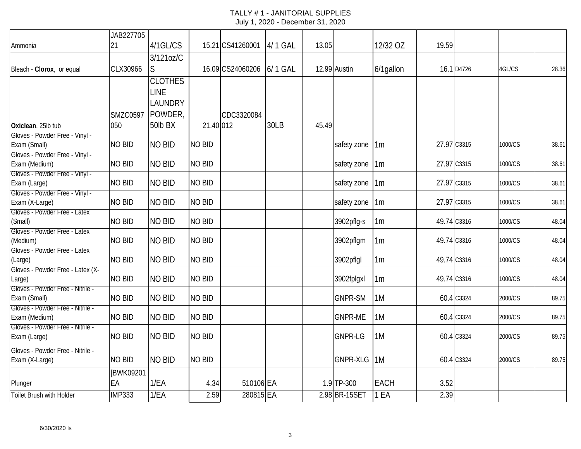|                                         | JAB227705       |                |               |                  |         |       |                 |                |       |             |         |       |
|-----------------------------------------|-----------------|----------------|---------------|------------------|---------|-------|-----------------|----------------|-------|-------------|---------|-------|
| Ammonia                                 | 21              | 4/1GL/CS       |               | 15.21 CS41260001 | 4/1 GAL | 13.05 |                 | 12/32 OZ       | 19.59 |             |         |       |
|                                         |                 | 3/121oz/C      |               |                  |         |       |                 |                |       |             |         |       |
| Bleach - Clorox, or equal               | CLX30966        | S              |               | 16.09 CS24060206 | 6/1 GAL |       | 12.99 Austin    | 6/1gallon      |       | 16.1 D4726  | 4GL/CS  | 28.36 |
|                                         |                 | <b>CLOTHES</b> |               |                  |         |       |                 |                |       |             |         |       |
|                                         |                 | <b>LINE</b>    |               |                  |         |       |                 |                |       |             |         |       |
|                                         |                 | LAUNDRY        |               |                  |         |       |                 |                |       |             |         |       |
|                                         | <b>SMZC0597</b> | POWDER,        |               | CDC3320084       |         |       |                 |                |       |             |         |       |
| Oxiclean, 25lb tub                      | 050             | 50lb BX        | 21.40 012     |                  | 30LB    | 45.49 |                 |                |       |             |         |       |
| Gloves - Powder Free - Vinyl -          |                 |                |               |                  |         |       |                 |                |       |             |         |       |
| Exam (Small)                            | <b>NO BID</b>   | <b>NO BID</b>  | <b>NO BID</b> |                  |         |       | safety zone     | 1m             |       | 27.97 C3315 | 1000/CS | 38.61 |
| Gloves - Powder Free - Vinyl -          |                 |                |               |                  |         |       |                 |                |       |             |         |       |
| Exam (Medium)                           | NO BID          | <b>NO BID</b>  | <b>NO BID</b> |                  |         |       | safety zone     | 1 <sub>m</sub> |       | 27.97 C3315 | 1000/CS | 38.61 |
| Gloves - Powder Free - Vinyl -          |                 |                |               |                  |         |       |                 |                |       |             |         |       |
| Exam (Large)                            | NO BID          | <b>NO BID</b>  | <b>NO BID</b> |                  |         |       | safety zone     | 1m             |       | 27.97 C3315 | 1000/CS | 38.61 |
| Gloves - Powder Free - Vinyl -          |                 |                |               |                  |         |       |                 |                |       |             |         |       |
| Exam (X-Large)                          | <b>NO BID</b>   | <b>NO BID</b>  | <b>NO BID</b> |                  |         |       | safety zone     | 1 <sub>m</sub> |       | 27.97 C3315 | 1000/CS | 38.61 |
| Gloves - Powder Free - Latex            | NO BID          | <b>NO BID</b>  | <b>NO BID</b> |                  |         |       |                 |                |       | 49.74 C3316 |         |       |
| (Small)<br>Gloves - Powder Free - Latex |                 |                |               |                  |         |       | 3902pflg-s      | 1 <sub>m</sub> |       |             | 1000/CS | 48.04 |
| (Medium)                                | NO BID          | <b>NO BID</b>  | <b>NO BID</b> |                  |         |       | 3902pflgm       | 1m             |       | 49.74 C3316 | 1000/CS | 48.04 |
| Gloves - Powder Free - Latex            |                 |                |               |                  |         |       |                 |                |       |             |         |       |
| (Large)                                 | <b>NO BID</b>   | <b>NO BID</b>  | <b>NO BID</b> |                  |         |       | 3902pflgl       | 1 <sub>m</sub> |       | 49.74 C3316 | 1000/CS | 48.04 |
| Gloves - Powder Free - Latex (X-        |                 |                |               |                  |         |       |                 |                |       |             |         |       |
| Large)                                  | <b>NO BID</b>   | <b>NO BID</b>  | <b>NO BID</b> |                  |         |       | 3902fplgxl      | 1 <sub>m</sub> |       | 49.74 C3316 | 1000/CS | 48.04 |
| Gloves - Powder Free - Nitrile -        |                 |                |               |                  |         |       |                 |                |       |             |         |       |
| Exam (Small)                            | NO BID          | <b>NO BID</b>  | <b>NO BID</b> |                  |         |       | <b>GNPR-SM</b>  | 1M             |       | 60.4 C3324  | 2000/CS | 89.75 |
| Gloves - Powder Free - Nitrile -        |                 |                |               |                  |         |       |                 |                |       |             |         |       |
| Exam (Medium)                           | NO BID          | <b>NO BID</b>  | <b>NO BID</b> |                  |         |       | <b>GNPR-ME</b>  | 1M             |       | 60.4 C3324  | 2000/CS | 89.75 |
| Gloves - Powder Free - Nitrile -        |                 |                |               |                  |         |       |                 |                |       |             |         |       |
| Exam (Large)                            | NO BID          | <b>NO BID</b>  | <b>NO BID</b> |                  |         |       | <b>GNPR-LG</b>  | 1M             |       | 60.4 C3324  | 2000/CS | 89.75 |
| Gloves - Powder Free - Nitrile -        |                 |                |               |                  |         |       |                 |                |       |             |         |       |
| Exam (X-Large)                          | <b>NO BID</b>   | <b>NO BID</b>  | <b>NO BID</b> |                  |         |       | <b>GNPR-XLG</b> | 1M             |       | 60.4 C3324  | 2000/CS | 89.75 |
|                                         | [BWK09201       |                |               |                  |         |       |                 |                |       |             |         |       |
| Plunger                                 | EA              | 1/EA           | 4.34          | 510106 EA        |         |       | 1.9 TP-300      | <b>EACH</b>    | 3.52  |             |         |       |
| <b>Toilet Brush with Holder</b>         | <b>IMP333</b>   | 1/EA           | 2.59          | 280815 EA        |         |       | 2.98 BR-15SET   | 1 EA           | 2.39  |             |         |       |
|                                         |                 |                |               |                  |         |       |                 |                |       |             |         |       |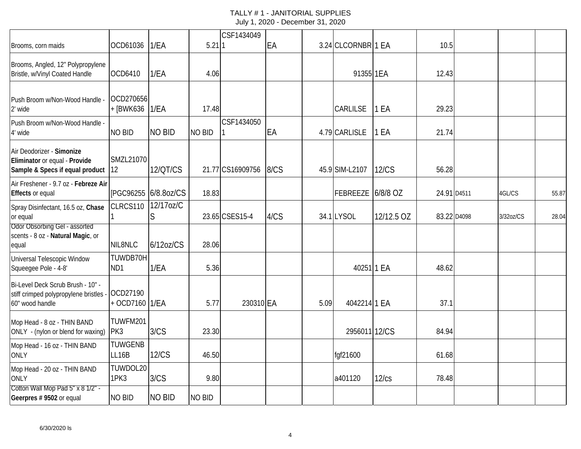| Brooms, corn maids                                                                            | OCD61036                       | 1/EA                 | $5.21$ 1      | CSF1434049       | EA   |      | 3.24 CLCORNBR 1 EA |              | 10.5        |             |           |       |
|-----------------------------------------------------------------------------------------------|--------------------------------|----------------------|---------------|------------------|------|------|--------------------|--------------|-------------|-------------|-----------|-------|
| Brooms, Angled, 12" Polypropylene<br>Bristle, w/Vinyl Coated Handle                           | OCD6410                        | 1/EA                 | 4.06          |                  |      |      | 91355 1EA          |              | 12.43       |             |           |       |
| Push Broom w/Non-Wood Handle -<br>2' wide                                                     | OCD270656<br>+ [BWK636   1/EA  |                      | 17.48         |                  |      |      | <b>CARLILSE</b>    | 1 EA         | 29.23       |             |           |       |
| Push Broom w/Non-Wood Handle -<br>4' wide                                                     | <b>NO BID</b>                  | <b>NO BID</b>        | <b>NO BID</b> | CSF1434050       | EA   |      | 4.79 CARLISLE      | 1 EA         | 21.74       |             |           |       |
| Air Deodorizer - Simonize<br>Eliminator or equal - Provide<br>Sample & Specs if equal product | SMZL21070<br>12                | 12/QT/CS             |               | 21.77 CS16909756 | 8/CS |      | 45.9 SIM-L2107     | <b>12/CS</b> | 56.28       |             |           |       |
| Air Freshener - 9.7 oz - Febreze Air<br><b>Effects or equal</b>                               |                                | [PGC96255 6/8.80Z/CS | 18.83         |                  |      |      | FEBREEZE 6/8/8 OZ  |              | 24.91 D4511 |             | 4GL/CS    | 55.87 |
| Spray Disinfectant, 16.5 oz, Chase<br>or equal                                                | CLRCS110                       | 12/17oz/C<br>S       |               | 23.65 CSES15-4   | 4/CS |      | 34.1 LYSOL         | 12/12.5 OZ   |             | 83.22 D4098 | 3/32oz/CS | 28.04 |
| Odor Obsorbing Gel - assorted<br>scents - 8 oz - Natural Magic, or<br>equal                   | NIL8NLC                        | 6/120Z/CS            | 28.06         |                  |      |      |                    |              |             |             |           |       |
| Universal Telescopic Window<br>Squeegee Pole - 4-8'                                           | TUWDB70H<br>ND <sub>1</sub>    | 1/EA                 | 5.36          |                  |      |      | 40251 1 EA         |              | 48.62       |             |           |       |
| Bi-Level Deck Scrub Brush - 10" -<br>stiff crimped polypropylene bristles<br>60" wood handle  | OCD27190<br>+ OCD7160 1/EA     |                      | 5.77          | 230310 EA        |      | 5.09 | 4042214 1 EA       |              | 37.1        |             |           |       |
| Mop Head - 8 oz - THIN BAND<br>ONLY - (nylon or blend for waxing)                             | TUWFM201<br>PK3                | 3/CS                 | 23.30         |                  |      |      | 2956011 12/CS      |              | 84.94       |             |           |       |
| Mop Head - 16 oz - THIN BAND<br><b>ONLY</b>                                                   | <b>TUWGENB</b><br><b>LL16B</b> | <b>12/CS</b>         | 46.50         |                  |      |      | fqf21600           |              | 61.68       |             |           |       |
| Mop Head - 20 oz - THIN BAND<br><b>ONLY</b>                                                   | TUWDOL20<br>1PK3               | 3/CS                 | 9.80          |                  |      |      | a401120            | 12/cs        | 78.48       |             |           |       |
| Cotton Wall Mop Pad 5" x 8 1/2" -<br>Geerpres # 9502 or equal                                 | <b>NO BID</b>                  | <b>NO BID</b>        | <b>NO BID</b> |                  |      |      |                    |              |             |             |           |       |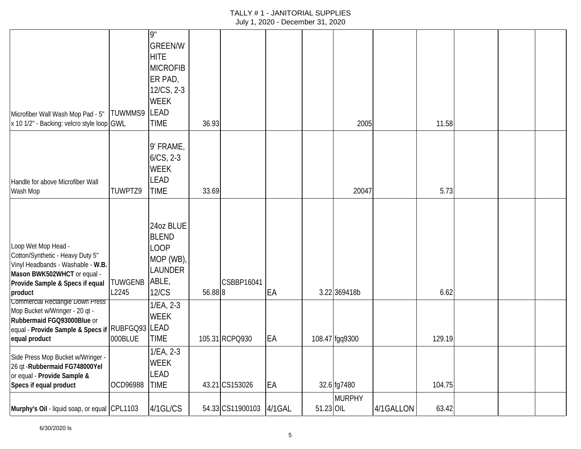| Microfiber Wall Wash Mop Pad - 5"<br>x 10 1/2" - Backing: velcro style loop GWL                                                                                           | TUWMMS9          | 9"<br><b>GREEN/W</b><br><b>HITE</b><br><b>MICROFIB</b><br>ER PAD,<br>12/CS, 2-3<br><b>WEEK</b><br><b>LEAD</b><br><b>TIME</b> | 36.93   |                         |    |           | 2005           |           | 11.58  |  |  |
|---------------------------------------------------------------------------------------------------------------------------------------------------------------------------|------------------|------------------------------------------------------------------------------------------------------------------------------|---------|-------------------------|----|-----------|----------------|-----------|--------|--|--|
| Handle for above Microfiber Wall<br>Wash Mop                                                                                                                              | TUWPTZ9          | 9' FRAME,<br>$6/CS$ , 2-3<br><b>WEEK</b><br><b>LEAD</b><br><b>TIME</b>                                                       | 33.69   |                         |    |           | 20047          |           | 5.73   |  |  |
| Loop Wet Mop Head -<br>Cotton/Synthetic - Heavy Duty 5"<br>Vinyl Headbands - Washable - W.B.<br>Mason BWK502WHCT or equal -<br>Provide Sample & Specs if equal<br>product | TUWGENB<br>L2245 | 24oz BLUE<br><b>BLEND</b><br><b>LOOP</b><br>MOP (WB),<br>LAUNDER<br>ABLE,<br><b>12/CS</b>                                    | 56.88 8 | CSBBP16041              | EA |           | 3.22 369418b   |           | 6.62   |  |  |
| Commercial Rectangle Down Press<br>Mop Bucket w/Wringer - 20 qt -<br>Rubbermaid FGQ93000Blue or<br>equal - Provide Sample & Specs if RUBFGQ93 LEAD<br>equal product       | 000BLUE          | 1/EA, 2-3<br><b>WEEK</b><br><b>TIME</b>                                                                                      |         | 105.31 RCPQ930          | EA |           | 108.47 fgq9300 |           | 129.19 |  |  |
| Side Press Mop Bucket w/Wringer -<br>26 qt - Rubbermaid FG748000Yel<br>or equal - Provide Sample &<br>Specs if equal product                                              | OCD96988         | $1/EA$ , $2-3$<br><b>WEEK</b><br>LEAD<br><b>TIME</b>                                                                         |         | 43.21 CS153026          | EA |           | 32.6 fg7480    |           | 104.75 |  |  |
| Murphy's Oil - liquid soap, or equal CPL1103                                                                                                                              |                  | 4/1GL/CS                                                                                                                     |         | 54.33 CS11900103 4/1GAL |    | 51.23 OIL | <b>MURPHY</b>  | 4/1GALLON | 63.42  |  |  |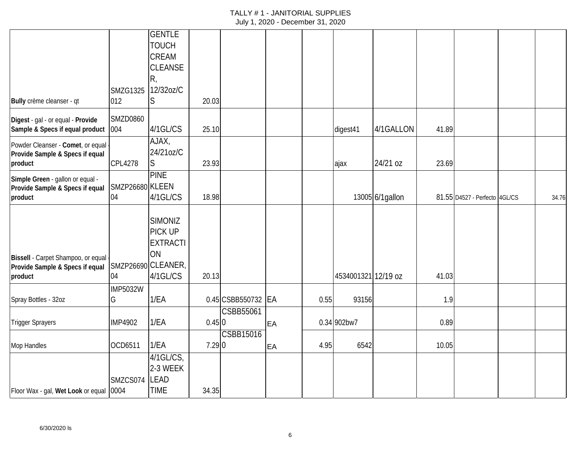|                                            |                 | <b>GENTLE</b>      |       |                    |    |      |                     |                  |       |                               |       |
|--------------------------------------------|-----------------|--------------------|-------|--------------------|----|------|---------------------|------------------|-------|-------------------------------|-------|
|                                            |                 | <b>TOUCH</b>       |       |                    |    |      |                     |                  |       |                               |       |
|                                            |                 | <b>CREAM</b>       |       |                    |    |      |                     |                  |       |                               |       |
|                                            |                 | <b>CLEANSE</b>     |       |                    |    |      |                     |                  |       |                               |       |
|                                            |                 | R,                 |       |                    |    |      |                     |                  |       |                               |       |
|                                            | <b>SMZG1325</b> | 12/32oz/C          |       |                    |    |      |                     |                  |       |                               |       |
|                                            |                 |                    |       |                    |    |      |                     |                  |       |                               |       |
| Bully crème cleanser - qt                  | 012             | S                  | 20.03 |                    |    |      |                     |                  |       |                               |       |
| Digest - gal - or equal - Provide          | <b>SMZD0860</b> |                    |       |                    |    |      |                     |                  |       |                               |       |
| Sample & Specs if equal product            | 004             | 4/1GL/CS           | 25.10 |                    |    |      | digest41            | 4/1GALLON        | 41.89 |                               |       |
|                                            |                 | AJAX,              |       |                    |    |      |                     |                  |       |                               |       |
| Powder Cleanser - Comet, or equal          |                 | 24/21oz/C          |       |                    |    |      |                     |                  |       |                               |       |
| Provide Sample & Specs if equal<br>product | CPL4278         | S                  | 23.93 |                    |    |      |                     | 24/21 oz         | 23.69 |                               |       |
|                                            |                 |                    |       |                    |    |      | ајах                |                  |       |                               |       |
| Simple Green - gallon or equal -           |                 | <b>PINE</b>        |       |                    |    |      |                     |                  |       |                               |       |
| Provide Sample & Specs if equal            | SMZP26680 KLEEN |                    |       |                    |    |      |                     |                  |       |                               |       |
| product                                    | 04              | 4/1GL/CS           | 18.98 |                    |    |      |                     | 13005 6/1 gallon |       | 81.55 D4527 - Perfecto 4GL/CS | 34.76 |
|                                            |                 |                    |       |                    |    |      |                     |                  |       |                               |       |
|                                            |                 | <b>SIMONIZ</b>     |       |                    |    |      |                     |                  |       |                               |       |
|                                            |                 | PICK UP            |       |                    |    |      |                     |                  |       |                               |       |
|                                            |                 | <b>EXTRACTI</b>    |       |                    |    |      |                     |                  |       |                               |       |
| Bissell - Carpet Shampoo, or equal         |                 | ON                 |       |                    |    |      |                     |                  |       |                               |       |
| Provide Sample & Specs if equal            |                 | SMZP26690 CLEANER, |       |                    |    |      |                     |                  |       |                               |       |
| product                                    | 04              | 4/1GL/CS           | 20.13 |                    |    |      | 4534001321 12/19 oz |                  | 41.03 |                               |       |
|                                            | <b>IMP5032W</b> |                    |       |                    |    |      |                     |                  |       |                               |       |
| Spray Bottles - 32oz                       | G               | 1/EA               |       | 0.45 CSBB550732 EA |    | 0.55 | 93156               |                  | 1.9   |                               |       |
|                                            |                 |                    |       |                    |    |      |                     |                  |       |                               |       |
|                                            |                 |                    |       | CSBB55061          |    |      |                     |                  |       |                               |       |
| <b>Trigger Sprayers</b>                    | <b>IMP4902</b>  | 1/EA               | 0.450 |                    | EA |      | 0.34 902bw7         |                  | 0.89  |                               |       |
|                                            |                 |                    |       | <b>CSBB15016</b>   |    |      |                     |                  |       |                               |       |
| Mop Handles                                | OCD6511         | 1/EA               | 7.290 |                    | EA | 4.95 | 6542                |                  | 10.05 |                               |       |
|                                            |                 | $4/1$ GL/CS,       |       |                    |    |      |                     |                  |       |                               |       |
|                                            |                 | 2-3 WEEK           |       |                    |    |      |                     |                  |       |                               |       |
|                                            | SMZCS074        | <b>LEAD</b>        |       |                    |    |      |                     |                  |       |                               |       |
| Floor Wax - gal, Wet Look or equal 0004    |                 | <b>TIME</b>        | 34.35 |                    |    |      |                     |                  |       |                               |       |
|                                            |                 |                    |       |                    |    |      |                     |                  |       |                               |       |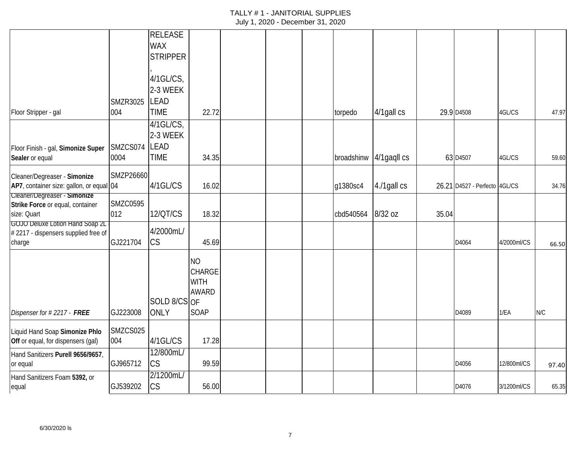|                                                       |                 | <b>RELEASE</b>  |               |  |            |             |       |                               |             |       |
|-------------------------------------------------------|-----------------|-----------------|---------------|--|------------|-------------|-------|-------------------------------|-------------|-------|
|                                                       |                 | <b>WAX</b>      |               |  |            |             |       |                               |             |       |
|                                                       |                 | <b>STRIPPER</b> |               |  |            |             |       |                               |             |       |
|                                                       |                 |                 |               |  |            |             |       |                               |             |       |
|                                                       |                 | $4/1$ GL/CS,    |               |  |            |             |       |                               |             |       |
|                                                       |                 | 2-3 WEEK        |               |  |            |             |       |                               |             |       |
|                                                       | <b>SMZR3025</b> | <b>LEAD</b>     |               |  |            |             |       |                               |             |       |
| Floor Stripper - gal                                  | 004             | <b>TIME</b>     | 22.72         |  | torpedo    | 4/1gall cs  |       | 29.9 D4508                    | 4GL/CS      | 47.97 |
|                                                       |                 | $4/1$ GL/CS,    |               |  |            |             |       |                               |             |       |
|                                                       |                 | 2-3 WEEK        |               |  |            |             |       |                               |             |       |
|                                                       | SMZCS074        | <b>LEAD</b>     |               |  |            |             |       |                               |             |       |
| Floor Finish - gal, Simonize Super<br>Sealer or equal | 0004            | <b>TIME</b>     | 34.35         |  | broadshinw | 4/1gaqll cs |       | 63 D4507                      | 4GL/CS      | 59.60 |
|                                                       |                 |                 |               |  |            |             |       |                               |             |       |
| Cleaner/Degreaser - Simonize                          | SMZP26660       |                 |               |  |            |             |       |                               |             |       |
| AP7, container size: gallon, or equal 04              |                 | 4/1GL/CS        | 16.02         |  | g1380sc4   | 4./1gall cs |       | 26.21 D4527 - Perfecto 4GL/CS |             | 34.76 |
| Cleaner/Degreaser - Simonize                          |                 |                 |               |  |            |             |       |                               |             |       |
| Strike Force or equal, container                      | <b>SMZC0595</b> |                 |               |  |            |             |       |                               |             |       |
| size: Quart                                           | 012             | 12/QT/CS        | 18.32         |  | cbd540564  | 8/32 oz     | 35.04 |                               |             |       |
| GOJO Deluxe Lotion Hand Soap 2L                       |                 | 4/2000mL/       |               |  |            |             |       |                               |             |       |
| #2217 - dispensers supplied free of<br>charge         | GJ221704        | <b>CS</b>       | 45.69         |  |            |             |       | D4064                         | 4/2000ml/CS |       |
|                                                       |                 |                 |               |  |            |             |       |                               |             | 66.50 |
|                                                       |                 |                 | <b>NO</b>     |  |            |             |       |                               |             |       |
|                                                       |                 |                 | <b>CHARGE</b> |  |            |             |       |                               |             |       |
|                                                       |                 |                 | <b>WITH</b>   |  |            |             |       |                               |             |       |
|                                                       |                 |                 | <b>AWARD</b>  |  |            |             |       |                               |             |       |
|                                                       |                 | SOLD 8/CS OF    |               |  |            |             |       |                               |             |       |
| Dispenser for #2217 - FREE                            | GJ223008        | <b>ONLY</b>     | SOAP          |  |            |             |       | D4089                         | 1/EA        | N/C   |
|                                                       |                 |                 |               |  |            |             |       |                               |             |       |
| Liquid Hand Soap Simonize Phlo                        | SMZCS025        |                 |               |  |            |             |       |                               |             |       |
| Off or equal, for dispensers (gal)                    | 004             | 4/1GL/CS        | 17.28         |  |            |             |       |                               |             |       |
| Hand Sanitizers Purell 9656/9657,                     |                 | 12/800mL/       |               |  |            |             |       |                               |             |       |
| or equal                                              | GJ965712        | CS              | 99.59         |  |            |             |       | D4056                         | 12/800ml/CS | 97.40 |
| Hand Sanitizers Foam 5392, or                         |                 | 2/1200mL/       |               |  |            |             |       |                               |             |       |
| equal                                                 | GJ539202        | <b>CS</b>       | 56.00         |  |            |             |       | D4076                         | 3/1200ml/CS | 65.35 |
|                                                       |                 |                 |               |  |            |             |       |                               |             |       |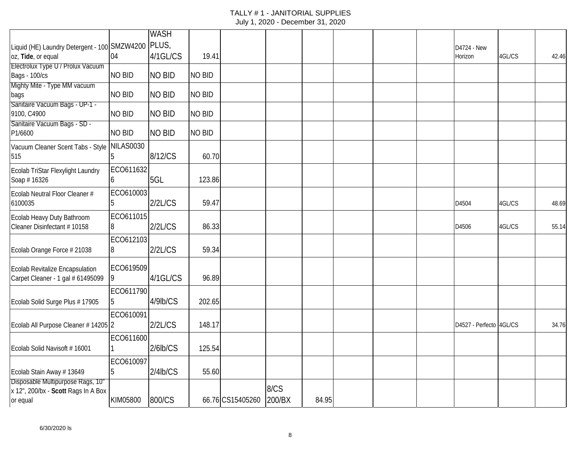|                                                  |                | <b>WASH</b>    |               |                  |        |       |  |                         |        |       |
|--------------------------------------------------|----------------|----------------|---------------|------------------|--------|-------|--|-------------------------|--------|-------|
| Liquid (HE) Laundry Detergent - 100 SMZW4200     |                | PLUS,          |               |                  |        |       |  | D4724 - New             |        |       |
| oz, Tide, or equal                               | 04             | 4/1GL/CS       | 19.41         |                  |        |       |  | Horizon                 | 4GL/CS | 42.46 |
| Electrolux Type U / Prolux Vacuum                |                |                |               |                  |        |       |  |                         |        |       |
| <b>Bags - 100/cs</b>                             | NO BID         | <b>NO BID</b>  | <b>NO BID</b> |                  |        |       |  |                         |        |       |
| Mighty Mite - Type MM vacuum                     |                |                |               |                  |        |       |  |                         |        |       |
| bags                                             | <b>NO BID</b>  | <b>NO BID</b>  | <b>NO BID</b> |                  |        |       |  |                         |        |       |
| Sanitaire Vacuum Bags - UP-1 -<br>9100, C4900    | <b>NO BID</b>  | <b>NO BID</b>  | <b>NO BID</b> |                  |        |       |  |                         |        |       |
| Sanitaire Vacuum Bags - SD -<br>P1/6600          | <b>NO BID</b>  | <b>NO BID</b>  | <b>NO BID</b> |                  |        |       |  |                         |        |       |
| Vacuum Cleaner Scent Tabs - Style                | NILAS0030      |                |               |                  |        |       |  |                         |        |       |
| 515                                              |                | 8/12/CS        | 60.70         |                  |        |       |  |                         |        |       |
| Ecolab TriStar Flexylight Laundry<br>Soap #16326 | ECO611632<br>6 | 5GL            | 123.86        |                  |        |       |  |                         |        |       |
| Ecolab Neutral Floor Cleaner #                   | ECO610003      |                |               |                  |        |       |  |                         |        |       |
| 6100035                                          | 5              | 2/2L/CS        | 59.47         |                  |        |       |  | D4504                   | 4GL/CS | 48.69 |
| Ecolab Heavy Duty Bathroom                       | ECO611015      |                |               |                  |        |       |  |                         |        |       |
| Cleaner Disinfectant # 10158                     | 8              | 2/2L/CS        | 86.33         |                  |        |       |  | D4506                   | 4GL/CS | 55.14 |
|                                                  | ECO612103      |                |               |                  |        |       |  |                         |        |       |
| Ecolab Orange Force # 21038                      | 8              | $2/2$ L/CS     | 59.34         |                  |        |       |  |                         |        |       |
| <b>Ecolab Revitalize Encapsulation</b>           | ECO619509      |                |               |                  |        |       |  |                         |        |       |
| Carpet Cleaner - 1 gal # 61495099                |                | 4/1GL/CS       | 96.89         |                  |        |       |  |                         |        |       |
|                                                  | ECO611790      |                |               |                  |        |       |  |                         |        |       |
| Ecolab Solid Surge Plus # 17905                  | 5              | 4/9lb/CS       | 202.65        |                  |        |       |  |                         |        |       |
|                                                  | ECO610091      |                |               |                  |        |       |  |                         |        |       |
| Ecolab All Purpose Cleaner # 14205 2             |                | 2/2L/CS        | 148.17        |                  |        |       |  | D4527 - Perfecto 4GL/CS |        | 34.76 |
|                                                  | ECO611600      |                |               |                  |        |       |  |                         |        |       |
| Ecolab Solid Navisoft #16001                     |                | $2/6$ lb/ $CS$ | 125.54        |                  |        |       |  |                         |        |       |
|                                                  | ECO610097      |                |               |                  |        |       |  |                         |        |       |
| Ecolab Stain Away # 13649                        | 5              | $2/4$ lb/CS    | 55.60         |                  |        |       |  |                         |        |       |
| Disposable Multipurpose Rags, 10"                |                |                |               |                  |        |       |  |                         |        |       |
| x 12", 200/bx - Scott Rags In A Box              |                |                |               |                  | 8/CS   |       |  |                         |        |       |
| or equal                                         | KIM05800       | 800/CS         |               | 66.76 CS15405260 | 200/BX | 84.95 |  |                         |        |       |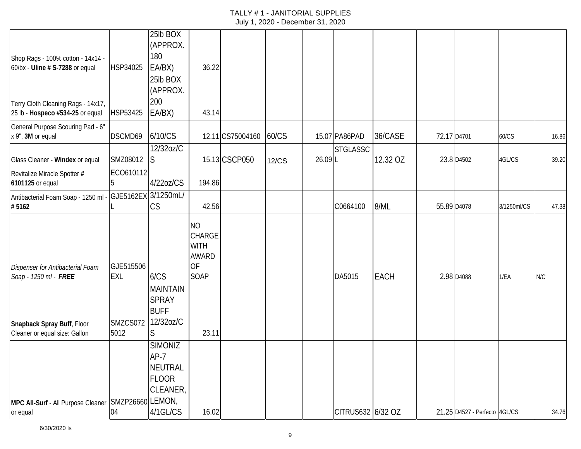| Shop Rags - 100% cotton - 14x14 -                               |                         | 25lb BOX<br>(APPROX.<br>180                                     |                                                                                       |                  |       |        |                   |             |             |                               |             |       |
|-----------------------------------------------------------------|-------------------------|-----------------------------------------------------------------|---------------------------------------------------------------------------------------|------------------|-------|--------|-------------------|-------------|-------------|-------------------------------|-------------|-------|
| 60/bx - Uline # S-7288 or equal                                 | HSP34025                | EA/BX)                                                          | 36.22                                                                                 |                  |       |        |                   |             |             |                               |             |       |
| Terry Cloth Cleaning Rags - 14x17,                              |                         | 25lb BOX<br>(APPROX.<br>200                                     |                                                                                       |                  |       |        |                   |             |             |                               |             |       |
| 25 lb - Hospeco #534-25 or equal                                | HSP53425                | EA/BX)                                                          | 43.14                                                                                 |                  |       |        |                   |             |             |                               |             |       |
| General Purpose Scouring Pad - 6"<br>x 9", 3M or equal          | DSCMD69                 | 6/10/CS                                                         |                                                                                       | 12.11 CS75004160 | 60/CS |        | 15.07 PA86PAD     | 36/CASE     | 72.17 D4701 |                               | 60/CS       | 16.86 |
| Glass Cleaner - Windex or equal                                 | SMZ08012                | 12/32oz/C<br>S                                                  |                                                                                       | 15.13 CSCP050    | 12/CS | 26.09L | <b>STGLASSC</b>   | 12.32 OZ    |             | 23.8 D4502                    | 4GL/CS      | 39.20 |
| Revitalize Miracle Spotter #<br>6101125 or equal                | ECO610112               | 4/22oz/CS                                                       | 194.86                                                                                |                  |       |        |                   |             |             |                               |             |       |
| Antibacterial Foam Soap - 1250 ml<br>#5162                      | GJE5162EX 3/1250mL/     | CS                                                              | 42.56                                                                                 |                  |       |        | C0664100          | 8/ML        |             | 55.89 D4078                   | 3/1250ml/CS | 47.38 |
| Dispenser for Antibacterial Foam<br>Soap - 1250 ml - FREE       | GJE515506<br><b>EXL</b> | 6/CS                                                            | <b>NO</b><br><b>CHARGE</b><br><b>WITH</b><br><b>AWARD</b><br><b>OF</b><br><b>SOAP</b> |                  |       |        | DA5015            | <b>EACH</b> |             | 2.98 D4088                    | 1/EA        | N/C   |
|                                                                 |                         | <b>MAINTAIN</b><br><b>SPRAY</b><br><b>BUFF</b>                  |                                                                                       |                  |       |        |                   |             |             |                               |             |       |
| Snapback Spray Buff, Floor<br>Cleaner or equal size: Gallon     | SMZCS072<br>5012        | 12/32oz/C<br>S                                                  | 23.11                                                                                 |                  |       |        |                   |             |             |                               |             |       |
|                                                                 |                         | <b>SIMONIZ</b><br>$AP-7$<br>NEUTRAL<br><b>FLOOR</b><br>CLEANER, |                                                                                       |                  |       |        |                   |             |             |                               |             |       |
| MPC All-Surf - All Purpose Cleaner SMZP26660 LEMON,<br>or equal | 04                      | 4/1GL/CS                                                        | 16.02                                                                                 |                  |       |        | CITRUS632 6/32 OZ |             |             | 21.25 D4527 - Perfecto 4GL/CS |             | 34.76 |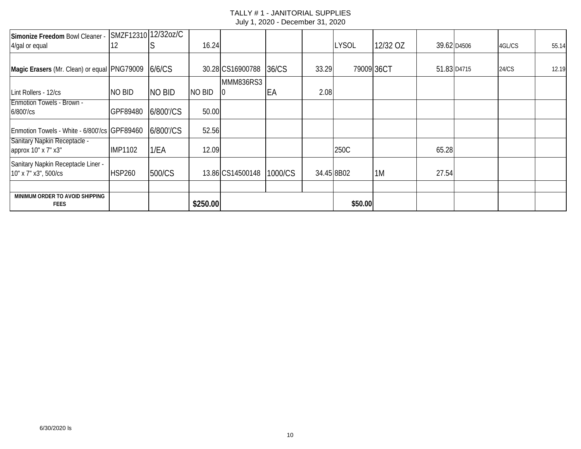| Simonize Freedom Bowl Cleaner<br>4/gal or equal            | 12             | SMZF12310 12/32oz/C | 16.24         |                  |         |            | <b>LYSOL</b> | 12/32 OZ |             | 39.62 D4506 | 4GL/CS | 55.14 |
|------------------------------------------------------------|----------------|---------------------|---------------|------------------|---------|------------|--------------|----------|-------------|-------------|--------|-------|
|                                                            |                |                     |               |                  |         |            |              |          |             |             |        |       |
| Magic Erasers (Mr. Clean) or equal PNG79009                |                | 6/6/CS              |               | 30.28 CS16900788 | 36/CS   | 33.29      | 79009 36CT   |          | 51.83 D4715 |             | 24/CS  | 12.19 |
|                                                            |                |                     |               | <b>MMM836RS3</b> |         |            |              |          |             |             |        |       |
| Lint Rollers - 12/cs                                       | <b>NO BID</b>  | <b>NO BID</b>       | <b>NO BID</b> |                  | EA      | 2.08       |              |          |             |             |        |       |
| <b>Enmotion Towels - Brown -</b><br>6/800'/cs              | GPF89480       | 6/800'/CS           | 50.00         |                  |         |            |              |          |             |             |        |       |
| Enmotion Towels - White - 6/800'/cs GPF89460               |                | 6/800'/CS           | 52.56         |                  |         |            |              |          |             |             |        |       |
| Sanitary Napkin Receptacle -<br>approx 10" x 7" x3"        | <b>IMP1102</b> | 1/EA                | 12.09         |                  |         |            | 250C         |          | 65.28       |             |        |       |
| Sanitary Napkin Receptacle Liner -<br>10" x 7" x3", 500/cs | <b>HSP260</b>  | 500/CS              |               | 13.86 CS14500148 | 1000/CS | 34.45 8B02 |              | 1M       | 27.54       |             |        |       |
|                                                            |                |                     |               |                  |         |            |              |          |             |             |        |       |
| MINIMUM ORDER TO AVOID SHIPPING<br><b>FEES</b>             |                |                     | \$250.00      |                  |         |            | \$50.00      |          |             |             |        |       |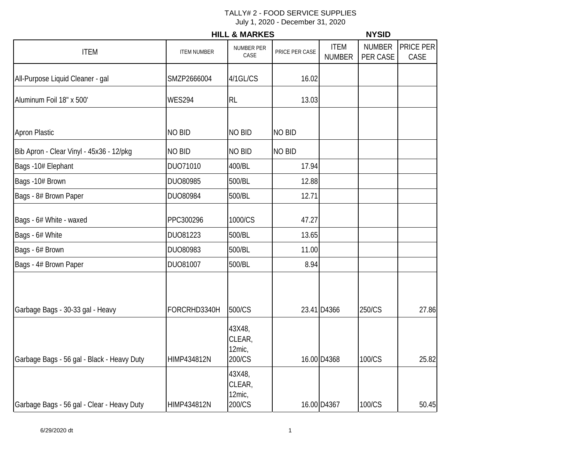|                                            |                    | <b>HILL &amp; MARKES</b>             | <b>NYSID</b>   |                              |                           |                   |
|--------------------------------------------|--------------------|--------------------------------------|----------------|------------------------------|---------------------------|-------------------|
| <b>ITEM</b>                                | <b>ITEM NUMBER</b> | NUMBER PER<br>CASE                   | PRICE PER CASE | <b>ITEM</b><br><b>NUMBER</b> | <b>NUMBER</b><br>PER CASE | PRICE PER<br>CASE |
| All-Purpose Liquid Cleaner - gal           | SMZP2666004        | 4/1GL/CS                             | 16.02          |                              |                           |                   |
| Aluminum Foil 18" x 500'                   | <b>WES294</b>      | <b>RL</b>                            | 13.03          |                              |                           |                   |
| Apron Plastic                              | <b>NO BID</b>      | <b>NO BID</b>                        | <b>NO BID</b>  |                              |                           |                   |
| Bib Apron - Clear Vinyl - 45x36 - 12/pkg   | NO BID             | NO BID                               | <b>NO BID</b>  |                              |                           |                   |
| Bags -10# Elephant                         | DUO71010           | 400/BL                               | 17.94          |                              |                           |                   |
| Bags -10# Brown                            | DUO80985           | 500/BL                               | 12.88          |                              |                           |                   |
| Bags - 8# Brown Paper                      | DUO80984           | 500/BL                               | 12.71          |                              |                           |                   |
| Bags - 6# White - waxed                    | PPC300296          | 1000/CS                              | 47.27          |                              |                           |                   |
| Bags - 6# White                            | DU081223           | 500/BL                               | 13.65          |                              |                           |                   |
| Bags - 6# Brown                            | DUO80983           | 500/BL                               | 11.00          |                              |                           |                   |
| Bags - 4# Brown Paper                      | DUO81007           | 500/BL                               | 8.94           |                              |                           |                   |
| Garbage Bags - 30-33 gal - Heavy           | FORCRHD3340H       | 500/CS                               |                | 23.41 D4366                  | 250/CS                    | 27.86             |
| Garbage Bags - 56 gal - Black - Heavy Duty | HIMP434812N        | 43X48,<br>CLEAR,<br>12mic,<br>200/CS |                | 16.00 D4368                  | 100/CS                    | 25.82             |
| Garbage Bags - 56 gal - Clear - Heavy Duty | HIMP434812N        | 43X48,<br>CLEAR,<br>12mic,<br>200/CS |                | 16.00 D4367                  | 100/CS                    | 50.45             |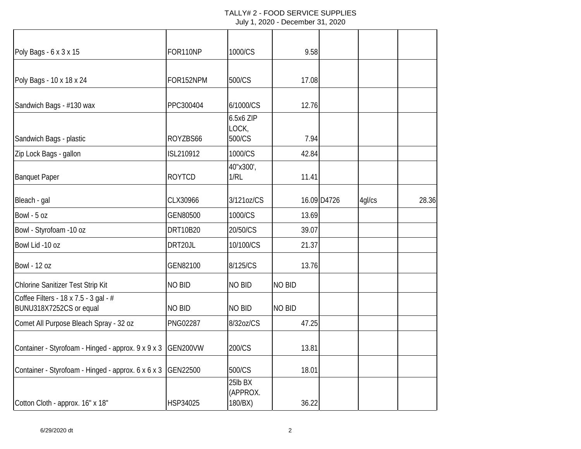| Poly Bags - 6 x 3 x 15                                           | FOR110NP        | 1000/CS                        | 9.58          |             |        |       |
|------------------------------------------------------------------|-----------------|--------------------------------|---------------|-------------|--------|-------|
| Poly Bags - 10 x 18 x 24                                         | FOR152NPM       | 500/CS                         | 17.08         |             |        |       |
| Sandwich Bags - #130 wax                                         | PPC300404       | 6/1000/CS                      | 12.76         |             |        |       |
| Sandwich Bags - plastic                                          | ROYZBS66        | 6.5x6 ZIP<br>LOCK,<br>500/CS   | 7.94          |             |        |       |
| Zip Lock Bags - gallon                                           | ISL210912       | 1000/CS                        | 42.84         |             |        |       |
| <b>Banquet Paper</b>                                             | <b>ROYTCD</b>   | 40"x300',<br>1/RL              | 11.41         |             |        |       |
| Bleach - gal                                                     | CLX30966        | 3/121oz/CS                     |               | 16.09 D4726 | 4gl/cs | 28.36 |
| Bowl - 5 oz                                                      | GEN80500        | 1000/CS                        | 13.69         |             |        |       |
| Bowl - Styrofoam -10 oz                                          | <b>DRT10B20</b> | 20/50/CS                       | 39.07         |             |        |       |
| Bowl Lid -10 oz                                                  | DRT20JL         | 10/100/CS                      | 21.37         |             |        |       |
| <b>Bowl - 12 oz</b>                                              | GEN82100        | 8/125/CS                       | 13.76         |             |        |       |
| Chlorine Sanitizer Test Strip Kit                                | <b>NO BID</b>   | <b>NO BID</b>                  | <b>NO BID</b> |             |        |       |
| Coffee Filters - 18 x 7.5 - 3 gal - #<br>BUNU318X7252CS or equal | NO BID          | <b>NO BID</b>                  | <b>NO BID</b> |             |        |       |
| Comet All Purpose Bleach Spray - 32 oz                           | <b>PNG02287</b> | 8/32oz/CS                      | 47.25         |             |        |       |
| Container - Styrofoam - Hinged - approx. 9 x 9 x 3               | GEN200VW        | 200/CS                         | 13.81         |             |        |       |
| Container - Styrofoam - Hinged - approx. 6 x 6 x 3               | GEN22500        | 500/CS                         | 18.01         |             |        |       |
| Cotton Cloth - approx. 16" x 18"                                 | HSP34025        | 25lb BX<br>(APPROX.<br>180/BX) | 36.22         |             |        |       |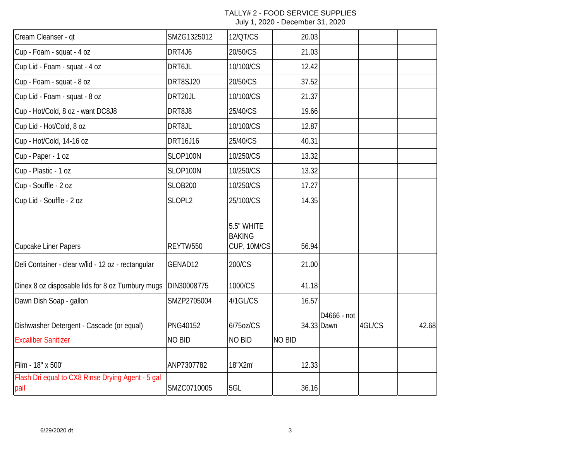| Cream Cleanser - qt                                       | SMZG1325012     | 12/QT/CS                                   | 20.03  |                           |        |       |
|-----------------------------------------------------------|-----------------|--------------------------------------------|--------|---------------------------|--------|-------|
| Cup - Foam - squat - 4 oz                                 | DRT4J6          | 20/50/CS                                   | 21.03  |                           |        |       |
| Cup Lid - Foam - squat - 4 oz                             | DRT6JL          | 10/100/CS                                  | 12.42  |                           |        |       |
| Cup - Foam - squat - 8 oz                                 | DRT8SJ20        | 20/50/CS                                   | 37.52  |                           |        |       |
| Cup Lid - Foam - squat - 8 oz                             | DRT20JL         | 10/100/CS                                  | 21.37  |                           |        |       |
| Cup - Hot/Cold, 8 oz - want DC8J8                         | DRT8J8          | 25/40/CS                                   | 19.66  |                           |        |       |
| Cup Lid - Hot/Cold, 8 oz                                  | DRT8JL          | 10/100/CS                                  | 12.87  |                           |        |       |
| Cup - Hot/Cold, 14-16 oz                                  | DRT16J16        | 25/40/CS                                   | 40.31  |                           |        |       |
| Cup - Paper - 1 oz                                        | SLOP100N        | 10/250/CS                                  | 13.32  |                           |        |       |
| Cup - Plastic - 1 oz                                      | SLOP100N        | 10/250/CS                                  | 13.32  |                           |        |       |
| Cup - Souffle - 2 oz                                      | <b>SLOB200</b>  | 10/250/CS                                  | 17.27  |                           |        |       |
| Cup Lid - Souffle - 2 oz                                  | SLOPL2          | 25/100/CS                                  | 14.35  |                           |        |       |
| <b>Cupcake Liner Papers</b>                               | REYTW550        | 5.5" WHITE<br><b>BAKING</b><br>CUP, 10M/CS | 56.94  |                           |        |       |
| Deli Container - clear w/lid - 12 oz - rectangular        | GENAD12         | 200/CS                                     | 21.00  |                           |        |       |
| Dinex 8 oz disposable lids for 8 oz Turnbury mugs         | DIN30008775     | 1000/CS                                    | 41.18  |                           |        |       |
| Dawn Dish Soap - gallon                                   | SMZP2705004     | 4/1GL/CS                                   | 16.57  |                           |        |       |
| Dishwasher Detergent - Cascade (or equal)                 | <b>PNG40152</b> | 6/75oz/CS                                  |        | D4666 - not<br>34.33 Dawn | 4GL/CS | 42.68 |
| <b>Excaliber Sanitizer</b>                                | <b>NO BID</b>   | <b>NO BID</b>                              | NO BID |                           |        |       |
| Film - 18" x 500'                                         | ANP7307782      | 18"X2m'                                    | 12.33  |                           |        |       |
| Flash Dri equal to CX8 Rinse Drying Agent - 5 gal<br>pail | SMZC0710005     | 5GL                                        | 36.16  |                           |        |       |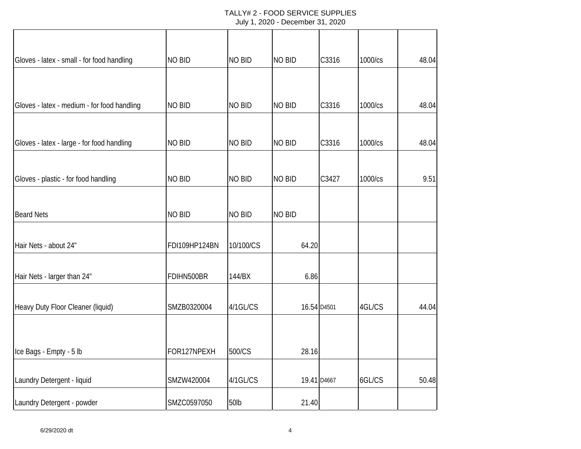| Gloves - latex - small - for food handling  | <b>NO BID</b> | <b>NO BID</b> | <b>NO BID</b> | C3316       | 1000/cs | 48.04 |
|---------------------------------------------|---------------|---------------|---------------|-------------|---------|-------|
|                                             |               |               |               |             |         |       |
| Gloves - latex - medium - for food handling | <b>NO BID</b> | <b>NO BID</b> | <b>NO BID</b> | C3316       | 1000/cs | 48.04 |
| Gloves - latex - large - for food handling  | <b>NO BID</b> | <b>NO BID</b> | <b>NO BID</b> | C3316       | 1000/cs | 48.04 |
|                                             |               |               |               |             |         |       |
| Gloves - plastic - for food handling        | NO BID        | <b>NO BID</b> | <b>NO BID</b> | C3427       | 1000/cs | 9.51  |
| <b>Beard Nets</b>                           | <b>NO BID</b> | <b>NO BID</b> | NO BID        |             |         |       |
| Hair Nets - about 24"                       | FDI109HP124BN | 10/100/CS     | 64.20         |             |         |       |
| Hair Nets - larger than 24"                 | FDIHN500BR    | 144/BX        | 6.86          |             |         |       |
| Heavy Duty Floor Cleaner (liquid)           | SMZB0320004   | 4/1GL/CS      |               | 16.54 D4501 | 4GL/CS  | 44.04 |
|                                             |               |               |               |             |         |       |
| Ice Bags - Empty - 5 lb                     | FOR127NPEXH   | 500/CS        | 28.16         |             |         |       |
| Laundry Detergent - liquid                  | SMZW420004    | 4/1GL/CS      |               | 19.41 D4667 | 6GL/CS  | 50.48 |
| Laundry Detergent - powder                  | SMZC0597050   | 50lb          | 21.40         |             |         |       |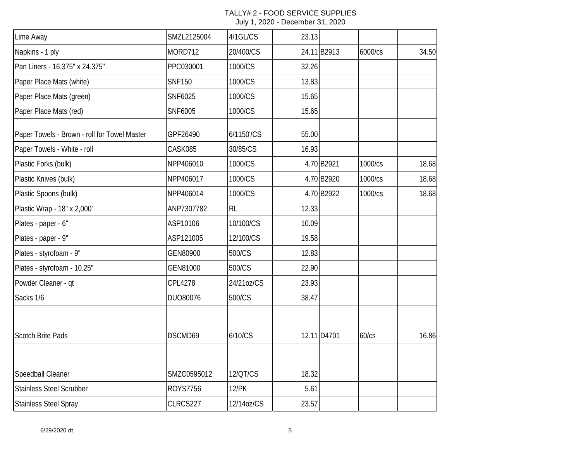| Lime Away                                    | SMZL2125004     | 4/1GL/CS     | 23.13 |             |         |       |
|----------------------------------------------|-----------------|--------------|-------|-------------|---------|-------|
| Napkins - 1 ply                              | MORD712         | 20/400/CS    |       | 24.11B2913  | 6000/cs | 34.50 |
| Pan Liners - 16.375" x 24.375"               | PPC030001       | 1000/CS      | 32.26 |             |         |       |
| Paper Place Mats (white)                     | <b>SNF150</b>   | 1000/CS      | 13.83 |             |         |       |
| Paper Place Mats (green)                     | SNF6025         | 1000/CS      | 15.65 |             |         |       |
| Paper Place Mats (red)                       | SNF6005         | 1000/CS      | 15.65 |             |         |       |
| Paper Towels - Brown - roll for Towel Master | GPF26490        | 6/1150'/CS   | 55.00 |             |         |       |
| Paper Towels - White - roll                  | CASK085         | 30/85/CS     | 16.93 |             |         |       |
| Plastic Forks (bulk)                         | NPP406010       | 1000/CS      |       | 4.70 B2921  | 1000/cs | 18.68 |
| Plastic Knives (bulk)                        | NPP406017       | 1000/CS      |       | 4.70 B2920  | 1000/cs | 18.68 |
| Plastic Spoons (bulk)                        | NPP406014       | 1000/CS      |       | 4.70 B2922  | 1000/cs | 18.68 |
| Plastic Wrap - 18" x 2,000'                  | ANP7307782      | RL           | 12.33 |             |         |       |
| Plates - paper - 6"                          | ASP10106        | 10/100/CS    | 10.09 |             |         |       |
| Plates - paper - 9"                          | ASP121005       | 12/100/CS    | 19.58 |             |         |       |
| Plates - styrofoam - 9"                      | GEN80900        | 500/CS       | 12.83 |             |         |       |
| Plates - styrofoam - 10.25"                  | GEN81000        | 500/CS       | 22.90 |             |         |       |
| Powder Cleaner - qt                          | CPL4278         | 24/21oz/CS   | 23.93 |             |         |       |
| Sacks 1/6                                    | DUO80076        | 500/CS       | 38.47 |             |         |       |
| <b>Scotch Brite Pads</b>                     | DSCMD69         | 6/10/CS      |       | 12.11 D4701 | 60/cs   | 16.86 |
| Speedball Cleaner                            | SMZC0595012     | 12/QT/CS     | 18.32 |             |         |       |
| <b>Stainless Steel Scrubber</b>              | <b>ROYS7756</b> | <b>12/PK</b> | 5.61  |             |         |       |
| <b>Stainless Steel Spray</b>                 | CLRCS227        | 12/14oz/CS   | 23.57 |             |         |       |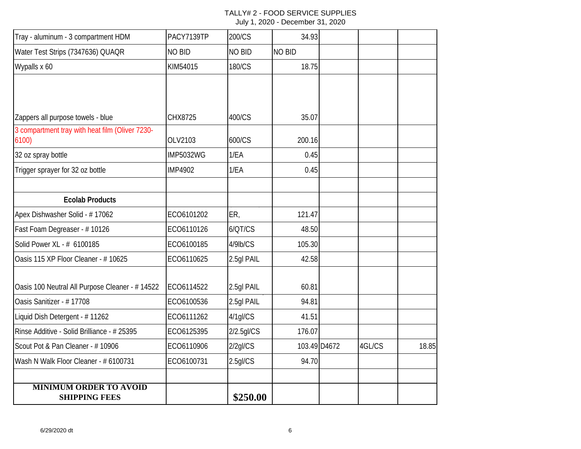| Tray - aluminum - 3 compartment HDM                     | PACY7139TP       | 200/CS        | 34.93  |              |        |       |
|---------------------------------------------------------|------------------|---------------|--------|--------------|--------|-------|
| Water Test Strips (7347636) QUAQR                       | <b>NO BID</b>    | NO BID        | NO BID |              |        |       |
| Wypalls x 60                                            | KIM54015         | 180/CS        | 18.75  |              |        |       |
|                                                         |                  |               |        |              |        |       |
|                                                         |                  |               |        |              |        |       |
| Zappers all purpose towels - blue                       | CHX8725          | 400/CS        | 35.07  |              |        |       |
| 3 compartment tray with heat film (Oliver 7230-<br>6100 | OLV2103          | 600/CS        | 200.16 |              |        |       |
| 32 oz spray bottle                                      | <b>IMP5032WG</b> | 1/EA          | 0.45   |              |        |       |
| Trigger sprayer for 32 oz bottle                        | <b>IMP4902</b>   | 1/EA          | 0.45   |              |        |       |
|                                                         |                  |               |        |              |        |       |
| <b>Ecolab Products</b>                                  |                  |               |        |              |        |       |
| Apex Dishwasher Solid - #17062                          | ECO6101202       | ER,           | 121.47 |              |        |       |
| Fast Foam Degreaser - #10126                            | ECO6110126       | 6/QT/CS       | 48.50  |              |        |       |
| Solid Power XL - # 6100185                              | ECO6100185       | 4/9lb/CS      | 105.30 |              |        |       |
| Oasis 115 XP Floor Cleaner - # 10625                    | ECO6110625       | 2.5gl PAIL    | 42.58  |              |        |       |
| Oasis 100 Neutral All Purpose Cleaner - # 14522         | ECO6114522       | 2.5gl PAIL    | 60.81  |              |        |       |
| Oasis Sanitizer - #17708                                | ECO6100536       | 2.5gl PAIL    | 94.81  |              |        |       |
| Liquid Dish Detergent - #11262                          | ECO6111262       | 4/1gl/CS      | 41.51  |              |        |       |
| Rinse Additive - Solid Brilliance - # 25395             | ECO6125395       | $2/2.5$ gl/CS | 176.07 |              |        |       |
| Scout Pot & Pan Cleaner - #10906                        | ECO6110906       | $2/2$ gl/CS   |        | 103.49 D4672 | 4GL/CS | 18.85 |
| Wash N Walk Floor Cleaner - # 6100731                   | ECO6100731       | 2.5gl/CS      | 94.70  |              |        |       |
| <b>MINIMUM ORDER TO AVOID</b>                           |                  |               |        |              |        |       |
| <b>SHIPPING FEES</b>                                    |                  | \$250.00      |        |              |        |       |